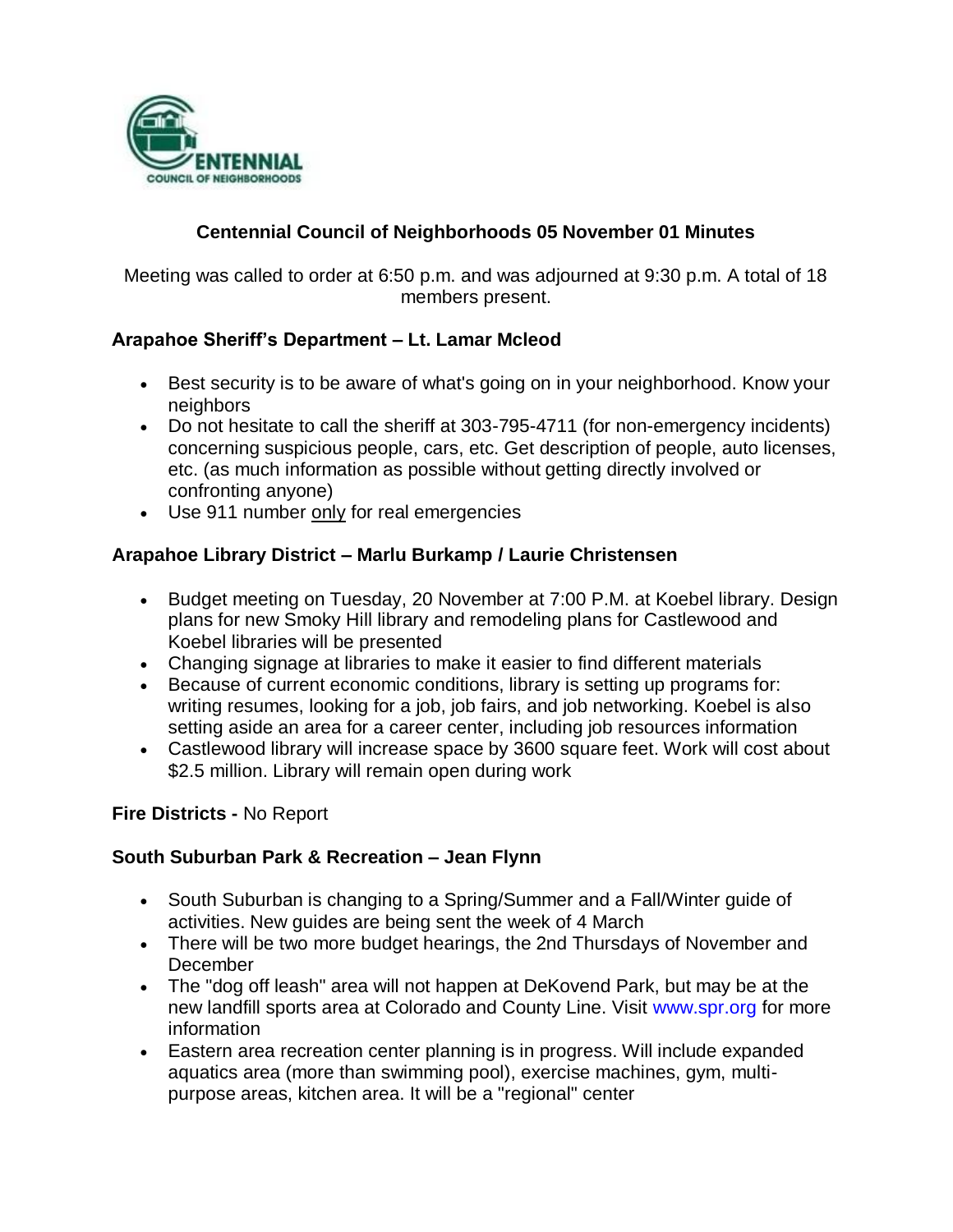

# **Centennial Council of Neighborhoods 05 November 01 Minutes**

Meeting was called to order at 6:50 p.m. and was adjourned at 9:30 p.m. A total of 18 members present.

#### **Arapahoe Sheriff's Department – Lt. Lamar Mcleod**

- Best security is to be aware of what's going on in your neighborhood. Know your neighbors
- Do not hesitate to call the sheriff at 303-795-4711 (for non-emergency incidents) concerning suspicious people, cars, etc. Get description of people, auto licenses, etc. (as much information as possible without getting directly involved or confronting anyone)
- Use 911 number only for real emergencies

#### **Arapahoe Library District – Marlu Burkamp / Laurie Christensen**

- Budget meeting on Tuesday, 20 November at 7:00 P.M. at Koebel library. Design plans for new Smoky Hill library and remodeling plans for Castlewood and Koebel libraries will be presented
- Changing signage at libraries to make it easier to find different materials
- Because of current economic conditions, library is setting up programs for: writing resumes, looking for a job, job fairs, and job networking. Koebel is also setting aside an area for a career center, including job resources information
- Castlewood library will increase space by 3600 square feet. Work will cost about \$2.5 million. Library will remain open during work

#### **Fire Districts -** No Report

#### **South Suburban Park & Recreation – Jean Flynn**

- South Suburban is changing to a Spring/Summer and a Fall/Winter guide of activities. New guides are being sent the week of 4 March
- There will be two more budget hearings, the 2nd Thursdays of November and December
- The "dog off leash" area will not happen at DeKovend Park, but may be at the new landfill sports area at Colorado and County Line. Visit www.spr.org for more information
- Eastern area recreation center planning is in progress. Will include expanded aquatics area (more than swimming pool), exercise machines, gym, multipurpose areas, kitchen area. It will be a "regional" center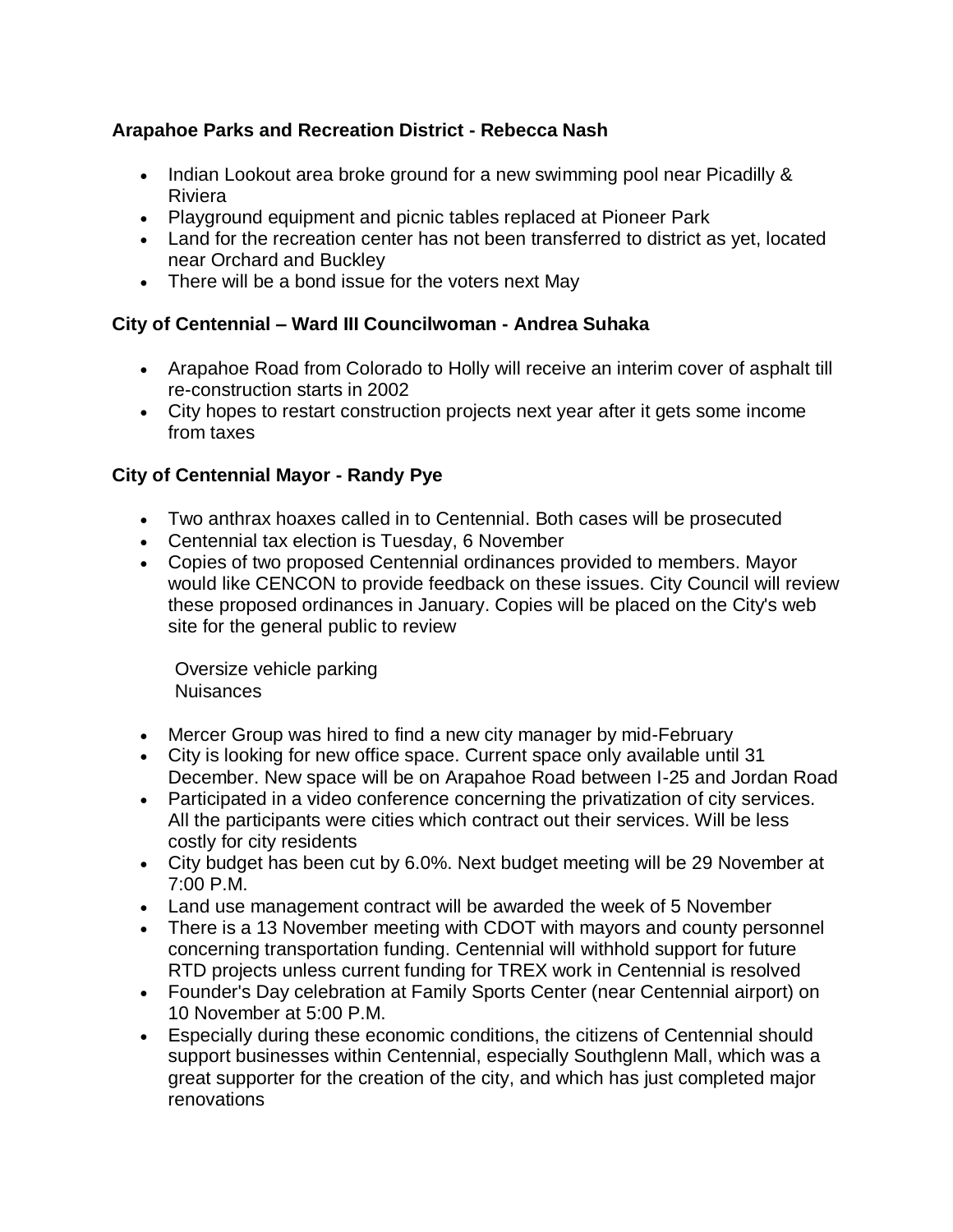#### **Arapahoe Parks and Recreation District - Rebecca Nash**

- Indian Lookout area broke ground for a new swimming pool near Picadilly & Riviera
- Playground equipment and picnic tables replaced at Pioneer Park
- Land for the recreation center has not been transferred to district as yet, located near Orchard and Buckley
- There will be a bond issue for the voters next May

# **City of Centennial – Ward III Councilwoman - Andrea Suhaka**

- Arapahoe Road from Colorado to Holly will receive an interim cover of asphalt till re-construction starts in 2002
- City hopes to restart construction projects next year after it gets some income from taxes

# **City of Centennial Mayor - Randy Pye**

- Two anthrax hoaxes called in to Centennial. Both cases will be prosecuted
- Centennial tax election is Tuesday, 6 November
- Copies of two proposed Centennial ordinances provided to members. Mayor would like CENCON to provide feedback on these issues. City Council will review these proposed ordinances in January. Copies will be placed on the City's web site for the general public to review

 Oversize vehicle parking Nuisances

- Mercer Group was hired to find a new city manager by mid-February
- City is looking for new office space. Current space only available until 31 December. New space will be on Arapahoe Road between I-25 and Jordan Road
- Participated in a video conference concerning the privatization of city services. All the participants were cities which contract out their services. Will be less costly for city residents
- City budget has been cut by 6.0%. Next budget meeting will be 29 November at 7:00 P.M.
- Land use management contract will be awarded the week of 5 November
- There is a 13 November meeting with CDOT with mayors and county personnel concerning transportation funding. Centennial will withhold support for future RTD projects unless current funding for TREX work in Centennial is resolved
- Founder's Day celebration at Family Sports Center (near Centennial airport) on 10 November at 5:00 P.M.
- Especially during these economic conditions, the citizens of Centennial should support businesses within Centennial, especially Southglenn Mall, which was a great supporter for the creation of the city, and which has just completed major renovations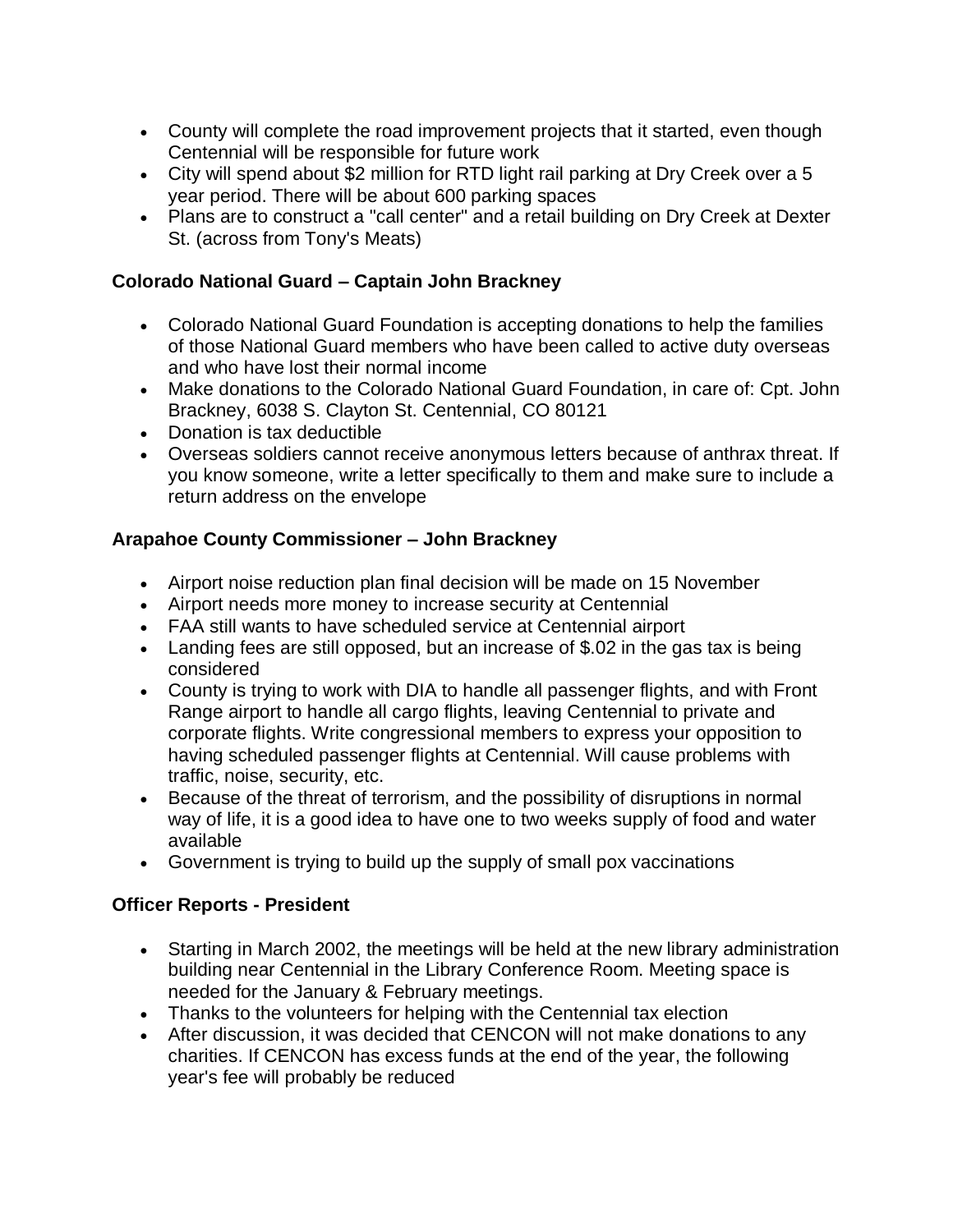- County will complete the road improvement projects that it started, even though Centennial will be responsible for future work
- City will spend about \$2 million for RTD light rail parking at Dry Creek over a 5 year period. There will be about 600 parking spaces
- Plans are to construct a "call center" and a retail building on Dry Creek at Dexter St. (across from Tony's Meats)

#### **Colorado National Guard – Captain John Brackney**

- Colorado National Guard Foundation is accepting donations to help the families of those National Guard members who have been called to active duty overseas and who have lost their normal income
- Make donations to the Colorado National Guard Foundation, in care of: Cpt. John Brackney, 6038 S. Clayton St. Centennial, CO 80121
- Donation is tax deductible
- Overseas soldiers cannot receive anonymous letters because of anthrax threat. If you know someone, write a letter specifically to them and make sure to include a return address on the envelope

# **Arapahoe County Commissioner – John Brackney**

- Airport noise reduction plan final decision will be made on 15 November
- Airport needs more money to increase security at Centennial
- FAA still wants to have scheduled service at Centennial airport
- Landing fees are still opposed, but an increase of \$.02 in the gas tax is being considered
- County is trying to work with DIA to handle all passenger flights, and with Front Range airport to handle all cargo flights, leaving Centennial to private and corporate flights. Write congressional members to express your opposition to having scheduled passenger flights at Centennial. Will cause problems with traffic, noise, security, etc.
- Because of the threat of terrorism, and the possibility of disruptions in normal way of life, it is a good idea to have one to two weeks supply of food and water available
- Government is trying to build up the supply of small pox vaccinations

# **Officer Reports - President**

- Starting in March 2002, the meetings will be held at the new library administration building near Centennial in the Library Conference Room. Meeting space is needed for the January & February meetings.
- Thanks to the volunteers for helping with the Centennial tax election
- After discussion, it was decided that CENCON will not make donations to any charities. If CENCON has excess funds at the end of the year, the following year's fee will probably be reduced